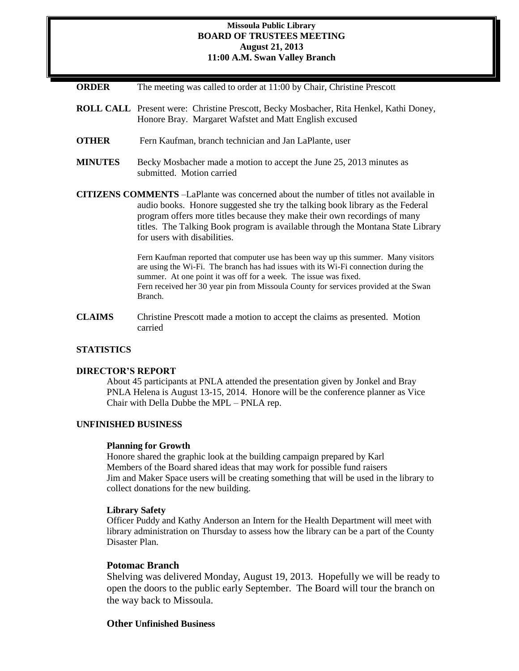### **Missoula Public Library BOARD OF TRUSTEES MEETING August 21, 2013 11:00 A.M. Swan Valley Branch**

| <b>ORDER</b> | The meeting was called to order at 11:00 by Chair, Christine Prescott |  |  |  |  |  |
|--------------|-----------------------------------------------------------------------|--|--|--|--|--|
|--------------|-----------------------------------------------------------------------|--|--|--|--|--|

- **ROLL CALL** Present were: Christine Prescott, Becky Mosbacher, Rita Henkel, Kathi Doney, Honore Bray. Margaret Wafstet and Matt English excused
- **OTHER** Fern Kaufman, branch technician and Jan LaPlante, user
- **MINUTES** Becky Mosbacher made a motion to accept the June 25, 2013 minutes as submitted. Motion carried
- **CITIZENS COMMENTS** –LaPlante was concerned about the number of titles not available in audio books. Honore suggested she try the talking book library as the Federal program offers more titles because they make their own recordings of many titles. The Talking Book program is available through the Montana State Library for users with disabilities.

Fern Kaufman reported that computer use has been way up this summer. Many visitors are using the Wi-Fi. The branch has had issues with its Wi-Fi connection during the summer. At one point it was off for a week. The issue was fixed. Fern received her 30 year pin from Missoula County for services provided at the Swan Branch.

**CLAIMS** Christine Prescott made a motion to accept the claims as presented. Motion carried

### **STATISTICS**

#### **DIRECTOR'S REPORT**

About 45 participants at PNLA attended the presentation given by Jonkel and Bray PNLA Helena is August 13-15, 2014. Honore will be the conference planner as Vice Chair with Della Dubbe the MPL – PNLA rep.

# **UNFINISHED BUSINESS**

#### **Planning for Growth**

Honore shared the graphic look at the building campaign prepared by Karl Members of the Board shared ideas that may work for possible fund raisers Jim and Maker Space users will be creating something that will be used in the library to collect donations for the new building.

#### **Library Safety**

Officer Puddy and Kathy Anderson an Intern for the Health Department will meet with library administration on Thursday to assess how the library can be a part of the County Disaster Plan.

### **Potomac Branch**

Shelving was delivered Monday, August 19, 2013. Hopefully we will be ready to open the doors to the public early September. The Board will tour the branch on the way back to Missoula.

### **Other Unfinished Business**